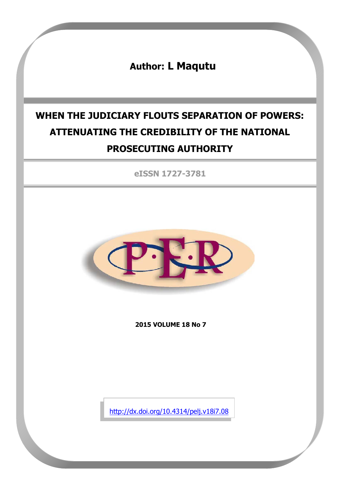**Author: L Maqutu**

# **WHEN THE JUDICIARY FLOUTS SEPARATION OF POWERS: ATTENUATING THE CREDIBILITY OF THE NATIONAL PROSECUTING AUTHORITY**

**eISSN 1727-3781**



**2015 VOLUME 18 No 7**

<http://dx.doi.org/10.4314/pelj.v18i7.08>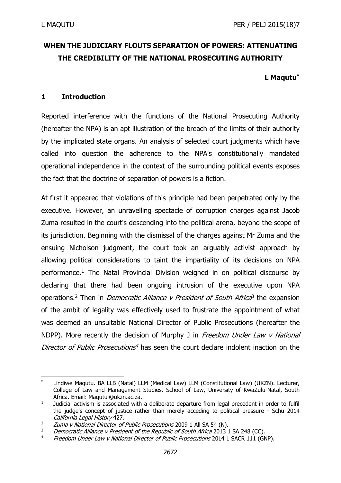**.** 

# **WHEN THE JUDICIARY FLOUTS SEPARATION OF POWERS: ATTENUATING THE CREDIBILITY OF THE NATIONAL PROSECUTING AUTHORITY**

# **L Maqutu\***

# **1 Introduction**

Reported interference with the functions of the National Prosecuting Authority (hereafter the NPA) is an apt illustration of the breach of the limits of their authority by the implicated state organs. An analysis of selected court judgments which have called into question the adherence to the NPA's constitutionally mandated operational independence in the context of the surrounding political events exposes the fact that the doctrine of separation of powers is a fiction.

At first it appeared that violations of this principle had been perpetrated only by the executive. However, an unravelling spectacle of corruption charges against Jacob Zuma resulted in the court's descending into the political arena, beyond the scope of its jurisdiction. Beginning with the dismissal of the charges against Mr Zuma and the ensuing Nicholson judgment, the court took an arguably activist approach by allowing political considerations to taint the impartiality of its decisions on NPA performance.<sup>1</sup> The Natal Provincial Division weighed in on political discourse by declaring that there had been ongoing intrusion of the executive upon NPA operations.<sup>2</sup> Then in *Democratic Alliance v President of South Africa*<sup>3</sup> the expansion of the ambit of legality was effectively used to frustrate the appointment of what was deemed an unsuitable National Director of Public Prosecutions (hereafter the NDPP). More recently the decision of Murphy J in Freedom Under Law  $v$  National Director of Public Prosecutions<sup>4</sup> has seen the court declare indolent inaction on the

Lindiwe Maqutu. BA LLB (Natal) LLM (Medical Law) LLM (Constitutional Law) (UKZN). Lecturer, College of Law and Management Studies, School of Law, University of KwaZulu-Natal, South Africa. Email: [Maqutul@ukzn.ac.za.](mailto:Maqutul@ukzn.ac.za)

<sup>1</sup> Judicial activism is associated with a deliberate departure from legal precedent in order to fulfil the judge's concept of justice rather than merely acceding to political pressure - Schu 2014 California Legal History 427.

<sup>&</sup>lt;sup>2</sup> *Zuma v National Director of Public Prosecutions* 2009 1 All SA 54 (N).

Democratic Alliance v President of the Republic of South Africa 2013 1 SA 248 (CC).

<sup>&</sup>lt;sup>4</sup> Freedom Under Law v National Director of Public Prosecutions 2014 1 SACR 111 (GNP).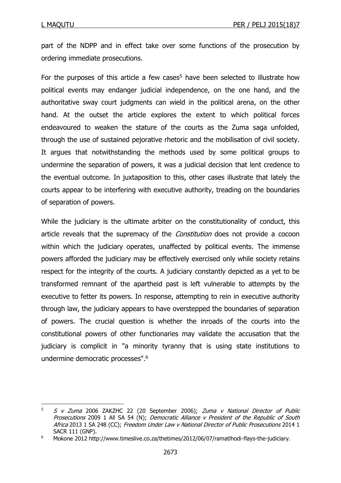1

part of the NDPP and in effect take over some functions of the prosecution by ordering immediate prosecutions.

For the purposes of this article a few cases<sup>5</sup> have been selected to illustrate how political events may endanger judicial independence, on the one hand, and the authoritative sway court judgments can wield in the political arena, on the other hand. At the outset the article explores the extent to which political forces endeavoured to weaken the stature of the courts as the Zuma saga unfolded, through the use of sustained pejorative rhetoric and the mobilisation of civil society. It argues that notwithstanding the methods used by some political groups to undermine the separation of powers, it was a judicial decision that lent credence to the eventual outcome. In juxtaposition to this, other cases illustrate that lately the courts appear to be interfering with executive authority, treading on the boundaries of separation of powers.

While the judiciary is the ultimate arbiter on the constitutionality of conduct, this article reveals that the supremacy of the *Constitution* does not provide a cocoon within which the judiciary operates, unaffected by political events. The immense powers afforded the judiciary may be effectively exercised only while society retains respect for the integrity of the courts. A judiciary constantly depicted as a yet to be transformed remnant of the apartheid past is left vulnerable to attempts by the executive to fetter its powers. In response, attempting to rein in executive authority through law, the judiciary appears to have overstepped the boundaries of separation of powers. The crucial question is whether the inroads of the courts into the constitutional powers of other functionaries may validate the accusation that the judiciary is complicit in "a minority tyranny that is using state institutions to undermine democratic processes". 6

 $5$  S v Zuma 2006 ZAKZHC 22 (20 September 2006); Zuma v National Director of Public Prosecutions 2009 1 All SA 54 (N); Democratic Alliance v President of the Republic of South Africa 2013 1 SA 248 (CC); Freedom Under Law v National Director of Public Prosecutions 2014 1 SACR 111 (GNP).

<sup>6</sup> Mokone 2012 http://www.timeslive.co.za/thetimes/2012/06/07/ramatlhodi-flays-the-judiciary.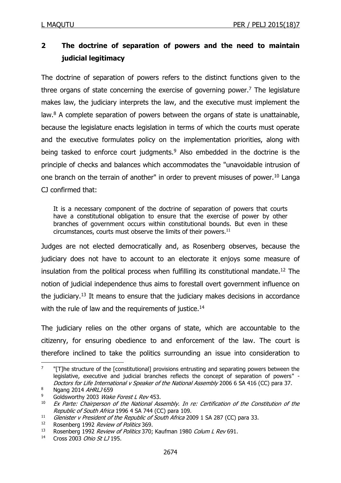# **2 The doctrine of separation of powers and the need to maintain judicial legitimacy**

The doctrine of separation of powers refers to the distinct functions given to the three organs of state concerning the exercise of governing power.<sup>7</sup> The legislature makes law, the judiciary interprets the law, and the executive must implement the law.<sup>8</sup> A complete separation of powers between the organs of state is unattainable, because the legislature enacts legislation in terms of which the courts must operate and the executive formulates policy on the implementation priorities, along with being tasked to enforce court judgments.<sup>9</sup> Also embedded in the doctrine is the principle of checks and balances which accommodates the "unavoidable intrusion of one branch on the terrain of another" in order to prevent misuses of power.<sup>10</sup> Langa CJ confirmed that:

It is a necessary component of the doctrine of separation of powers that courts have a constitutional obligation to ensure that the exercise of power by other branches of government occurs within constitutional bounds. But even in these circumstances, courts must observe the limits of their powers. $11$ 

Judges are not elected democratically and, as Rosenberg observes, because the judiciary does not have to account to an electorate it enjoys some measure of insulation from the political process when fulfilling its constitutional mandate.<sup>12</sup> The notion of judicial independence thus aims to forestall overt government influence on the judiciary.<sup>13</sup> It means to ensure that the judiciary makes decisions in accordance with the rule of law and the requirements of justice.<sup>14</sup>

The judiciary relies on the other organs of state, which are accountable to the citizenry, for ensuring obedience to and enforcement of the law. The court is therefore inclined to take the politics surrounding an issue into consideration to

<sup>7</sup> "[T]he structure of the [constitutional] provisions entrusting and separating powers between the legislative, executive and judicial branches reflects the concept of separation of powers" - Doctors for Life International v Speaker of the National Assembly 2006 6 SA 416 (CC) para 37.

<sup>8</sup> Ngang 2014 AHRLJ 659

<sup>&</sup>lt;sup>9</sup> Goldsworthy 2003 Wake Forest L Rev 453.

 $10$  Ex Parte: Chairperson of the National Assembly. In re: Certification of the Constitution of the Republic of South Africa 1996 4 SA 744 (CC) para 109.

<sup>&</sup>lt;sup>11</sup> Glenister v President of the Republic of South Africa 2009 1 SA 287 (CC) para 33.<br><sup>12</sup> Bosenberg 1992 *Paview of Politics* 369

<sup>&</sup>lt;sup>12</sup> Rosenberg 1992 *Review of Politics* 369.<br><sup>13</sup> Rosenberg 1992 *Review of Politics* 370:

Rosenberg 1992 Review of Politics 370; Kaufman 1980 Colum L Rev 691.

<sup>14</sup> Cross 2003 Ohio St LJ 195.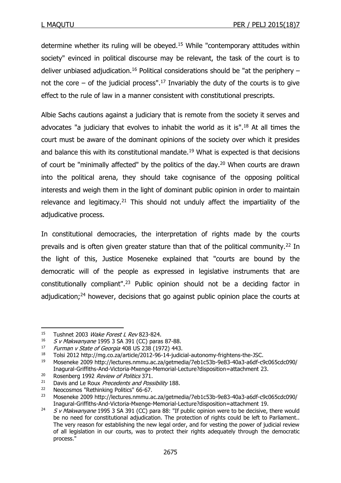determine whether its ruling will be obeyed.<sup>15</sup> While "contemporary attitudes within society" evinced in political discourse may be relevant, the task of the court is to deliver unbiased adjudication.<sup>16</sup> Political considerations should be "at the periphery  $$ not the core  $-$  of the judicial process".<sup>17</sup> Invariably the duty of the courts is to give effect to the rule of law in a manner consistent with constitutional prescripts.

Albie Sachs cautions against a judiciary that is remote from the society it serves and advocates "a judiciary that evolves to inhabit the world as it is".<sup>18</sup> At all times the court must be aware of the dominant opinions of the society over which it presides and balance this with its constitutional mandate.<sup>19</sup> What is expected is that decisions of court be "minimally affected" by the politics of the day.<sup>20</sup> When courts are drawn into the political arena, they should take cognisance of the opposing political interests and weigh them in the light of dominant public opinion in order to maintain relevance and legitimacy.<sup>21</sup> This should not unduly affect the impartiality of the adjudicative process.

In constitutional democracies, the interpretation of rights made by the courts prevails and is often given greater stature than that of the political community.<sup>22</sup> In the light of this, Justice Moseneke explained that "courts are bound by the democratic will of the people as expressed in legislative instruments that are constitutionally compliant". <sup>23</sup> Public opinion should not be a deciding factor in adjudication; $24$  however, decisions that go against public opinion place the courts at

<sup>&</sup>lt;sup>15</sup> Tushnet 2003 Wake Forest L Rev 823-824.

<sup>&</sup>lt;sup>16</sup> S v Makwanyane 1995 3 SA 391 (CC) paras 87-88.

<sup>&</sup>lt;sup>17</sup> Furman v State of Georgia 408 US 238 (1972) 443.<br><sup>18</sup> Tolsi 2012 http://mg.co.za/article/2012-96-14-iudic

<sup>18</sup> Tolsi 2012 http://mg.co.za/article/2012-96-14-judicial-autonomy-frightens-the-JSC.

<sup>19</sup> Moseneke 2009 http://lectures.nmmu.ac.za/getmedia/7eb1c53b-9e83-40a3-a6df-c9c065cdc090/ Inagural-Griffiths-And-Victoria-Mxenge-Memorial-Lecture?disposition=attachment 23.

<sup>&</sup>lt;sup>20</sup> Rosenberg 1992 *Review of Politics* 371.<br><sup>21</sup> Davis and Le Poux *Precedents and Pose* 

<sup>&</sup>lt;sup>21</sup> Davis and Le Roux *Precedents and Possibility* 188.

<sup>22</sup> Neocosmos "Rethinking Politics" 66-67.

<sup>23</sup> Moseneke 2009 http://lectures.nmmu.ac.za/getmedia/7eb1c53b-9e83-40a3-a6df-c9c065cdc090/ Inagural-Griffiths-And-Victoria-Mxenge-Memorial-Lecture?disposition=attachment 19.

<sup>&</sup>lt;sup>24</sup> S v Makwanyane 1995 3 SA 391 (CC) para 88: "If public opinion were to be decisive, there would be no need for constitutional adjudication. The protection of rights could be left to Parliament.. The very reason for establishing the new legal order, and for vesting the power of judicial review of all legislation in our courts, was to protect their rights adequately through the democratic process."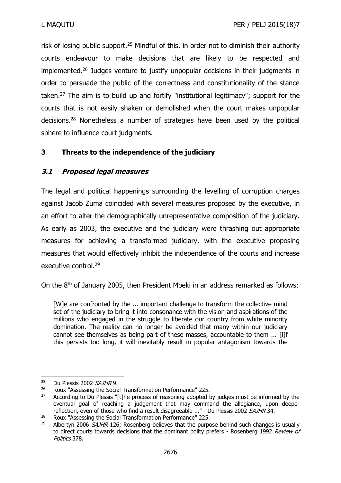risk of losing public support.<sup>25</sup> Mindful of this, in order not to diminish their authority courts endeavour to make decisions that are likely to be respected and implemented.<sup>26</sup> Judges venture to justify unpopular decisions in their judgments in order to persuade the public of the correctness and constitutionality of the stance taken.<sup>27</sup> The aim is to build up and fortify "institutional legitimacy"; support for the courts that is not easily shaken or demolished when the court makes unpopular decisions. <sup>28</sup> Nonetheless a number of strategies have been used by the political sphere to influence court judgments.

# **3 Threats to the independence of the judiciary**

# **3.1 Proposed legal measures**

The legal and political happenings surrounding the levelling of corruption charges against Jacob Zuma coincided with several measures proposed by the executive, in an effort to alter the demographically unrepresentative composition of the judiciary. As early as 2003, the executive and the judiciary were thrashing out appropriate measures for achieving a transformed judiciary, with the executive proposing measures that would effectively inhibit the independence of the courts and increase executive control.<sup>29</sup>

On the 8<sup>th</sup> of January 2005, then President Mbeki in an address remarked as follows:

[W]e are confronted by the ... important challenge to transform the collective mind set of the judiciary to bring it into consonance with the vision and aspirations of the millions who engaged in the struggle to liberate our country from white minority domination. The reality can no longer be avoided that many within our judiciary cannot see themselves as being part of these masses, accountable to them ... [i]f this persists too long, it will inevitably result in popular antagonism towards the

 $25$  Du Plessis 2002 SAJHR 9.

<sup>&</sup>lt;sup>26</sup> Roux "Assessing the Social Transformation Performance" 225.

 $27$  According to Du Plessis "[t]he process of reasoning adopted by judges must be informed by the eventual goal of reaching a judgement that may command the allegiance, upon deeper reflection, even of those who find a result disagreeable ..." - Du Plessis 2002 SAJHR 34.

<sup>&</sup>lt;sup>28</sup> Roux "Assessing the Social Transformation Performance" 225.<br><sup>29</sup> Albertyn 2006 *SA IHR* 126: Rosenberg believes that the nurno

Albertyn 2006  $S$ AJHR 126; Rosenberg believes that the purpose behind such changes is usually to direct courts towards decisions that the dominant polity prefers - Rosenberg 1992 Review of Politics 378.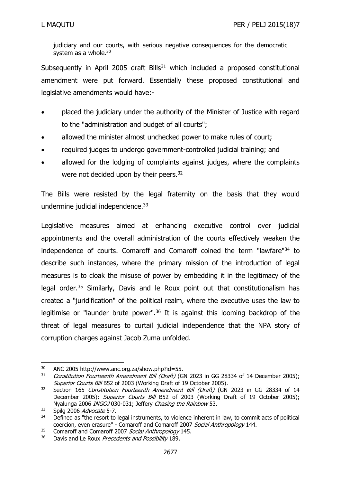judiciary and our courts, with serious negative consequences for the democratic system as a whole. $30$ 

Subsequently in April 2005 draft Bills $31$  which included a proposed constitutional amendment were put forward. Essentially these proposed constitutional and legislative amendments would have:-

- placed the judiciary under the authority of the Minister of Justice with regard to the "administration and budget of all courts";
- allowed the minister almost unchecked power to make rules of court;
- required judges to undergo government-controlled judicial training; and
- allowed for the lodging of complaints against judges, where the complaints were not decided upon by their peers.<sup>32</sup>

The Bills were resisted by the legal fraternity on the basis that they would undermine judicial independence.<sup>33</sup>

Legislative measures aimed at enhancing executive control over judicial appointments and the overall administration of the courts effectively weaken the independence of courts. Comaroff and Comaroff coined the term "lawfare"<sup>34</sup> to describe such instances, where the primary mission of the introduction of legal measures is to cloak the misuse of power by embedding it in the legitimacy of the legal order.<sup>35</sup> Similarly, Davis and le Roux point out that constitutionalism has created a "juridification" of the political realm, where the executive uses the law to legitimise or "launder brute power".<sup>36</sup> It is against this looming backdrop of the threat of legal measures to curtail judicial independence that the NPA story of corruption charges against Jacob Zuma unfolded.

**<sup>.</sup>** <sup>30</sup> ANC 2005 http://www.anc.org.za/show.php?id=55.

 $31$  Constitution Fourteenth Amendment Bill (Draft) (GN 2023 in GG 28334 of 14 December 2005); Superior Courts Bill B52 of 2003 (Working Draft of 19 October 2005).

<sup>&</sup>lt;sup>32</sup> Section 165 Constitution Fourteenth Amendment Bill (Draft) (GN 2023 in GG 28334 of 14 December 2005); Superior Courts Bill B52 of 2003 (Working Draft of 19 October 2005); Nyalunga 2006 INGOJ 030-031; Jeffery Chasing the Rainbow 53.

 $33$  Spilg 2006 Advocate 5-7.

Defined as "the resort to legal instruments, to violence inherent in law, to commit acts of political coercion, even erasure" - Comaroff and Comaroff 2007 Social Anthropology 144.

<sup>&</sup>lt;sup>35</sup> Comaroff and Comaroff 2007 Social Anthropology 145.

<sup>&</sup>lt;sup>36</sup> Davis and Le Roux Precedents and Possibility 189.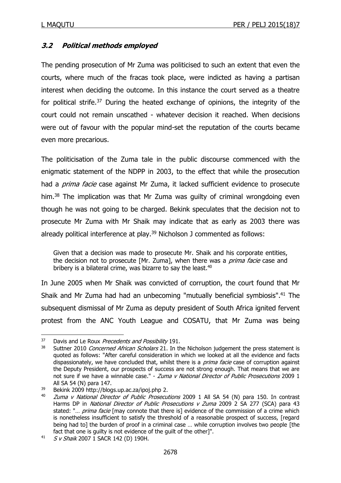# **3.2 Political methods employed**

The pending prosecution of Mr Zuma was politicised to such an extent that even the courts, where much of the fracas took place, were indicted as having a partisan interest when deciding the outcome. In this instance the court served as a theatre for political strife.<sup>37</sup> During the heated exchange of opinions, the integrity of the court could not remain unscathed - whatever decision it reached. When decisions were out of favour with the popular mind-set the reputation of the courts became even more precarious.

The politicisation of the Zuma tale in the public discourse commenced with the enigmatic statement of the NDPP in 2003, to the effect that while the prosecution had a *prima facie* case against Mr Zuma, it lacked sufficient evidence to prosecute him.<sup>38</sup> The implication was that Mr Zuma was guilty of criminal wrongdoing even though he was not going to be charged. Bekink speculates that the decision not to prosecute Mr Zuma with Mr Shaik may indicate that as early as 2003 there was already political interference at play. <sup>39</sup> Nicholson J commented as follows:

Given that a decision was made to prosecute Mr. Shaik and his corporate entities, the decision not to prosecute [Mr. Zuma], when there was a prima facie case and bribery is a bilateral crime, was bizarre to say the least. $40$ 

In June 2005 when Mr Shaik was convicted of corruption, the court found that Mr Shaik and Mr Zuma had had an unbecoming "mutually beneficial symbiosis". <sup>41</sup> The subsequent dismissal of Mr Zuma as deputy president of South Africa ignited fervent protest from the ANC Youth League and COSATU, that Mr Zuma was being

 $37$  Davis and Le Roux *Precedents and Possibility* 191.

Suttner 2010 Concerned African Scholars 21. In the Nicholson judgement the press statement is quoted as follows: "After careful consideration in which we looked at all the evidence and facts dispassionately, we have concluded that, whilst there is a *prima facie* case of corruption against the Deputy President, our prospects of success are not strong enough. That means that we are not sure if we have a winnable case." - Zuma v National Director of Public Prosecutions 2009 1 All SA 54 (N) para 147.

<sup>39</sup> Bekink 2009 http://blogs.up.ac.za/ipoj.php 2.

<sup>&</sup>lt;sup>40</sup> *Zuma v National Director of Public Prosecutions* 2009 1 All SA 54 (N) para 150. In contrast Harms DP in National Director of Public Prosecutions v Zuma 2009 2 SA 277 (SCA) para 43 stated: "... prima facie [may connote that there is] evidence of the commission of a crime which is nonetheless insufficient to satisfy the threshold of a reasonable prospect of success, [regard being had to] the burden of proof in a criminal case … while corruption involves two people [the fact that one is guilty is not evidence of the guilt of the other]".

<sup>41</sup> S v Shaik 2007 1 SACR 142 (D) 190H.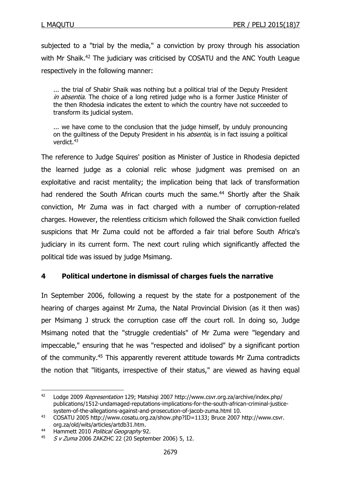subjected to a "trial by the media," a conviction by proxy through his association with Mr Shaik.<sup>42</sup> The judiciary was criticised by COSATU and the ANC Youth League respectively in the following manner:

... the trial of Shabir Shaik was nothing but a political trial of the Deputy President in absentia. The choice of a long retired judge who is a former Justice Minister of the then Rhodesia indicates the extent to which the country have not succeeded to transform its judicial system.

... we have come to the conclusion that the judge himself, by unduly pronouncing on the quiltiness of the Deputy President in his *absentia*, is in fact issuing a political verdict.<sup>43</sup>

The reference to Judge Squires' position as Minister of Justice in Rhodesia depicted the learned judge as a colonial relic whose judgment was premised on an exploitative and racist mentality; the implication being that lack of transformation had rendered the South African courts much the same.<sup>44</sup> Shortly after the Shaik conviction, Mr Zuma was in fact charged with a number of corruption-related charges. However, the relentless criticism which followed the Shaik conviction fuelled suspicions that Mr Zuma could not be afforded a fair trial before South Africa's judiciary in its current form. The next court ruling which significantly affected the political tide was issued by judge Msimang.

# **4 Political undertone in dismissal of charges fuels the narrative**

In September 2006, following a request by the state for a postponement of the hearing of charges against Mr Zuma, the Natal Provincial Division (as it then was) per Msimang J struck the corruption case off the court roll. In doing so, Judge Msimang noted that the "struggle credentials" of Mr Zuma were "legendary and impeccable," ensuring that he was "respected and idolised" by a significant portion of the community.<sup>45</sup> This apparently reverent attitude towards Mr Zuma contradicts the notion that "litigants, irrespective of their status," are viewed as having equal

<sup>42</sup> Lodge 2009 Representation 129; Matshiqi 2007 http://www.csvr.org.za/archive/index.php/ publications/1512-undamaged-reputations-implications-for-the-south-african-criminal-justicesystem-of-the-allegations-against-and-prosecution-of-jacob-zuma.html 10.

<sup>43</sup> COSATU 2005 http://www.cosatu.org.za/show.php?ID=1133; Bruce 2007 http://www.csvr. org.za/old/wits/articles/artdb31.htm.

<sup>44</sup> Hammett 2010 Political Geography 92.

 $45$  S v Zuma 2006 ZAKZHC 22 (20 September 2006) 5, 12.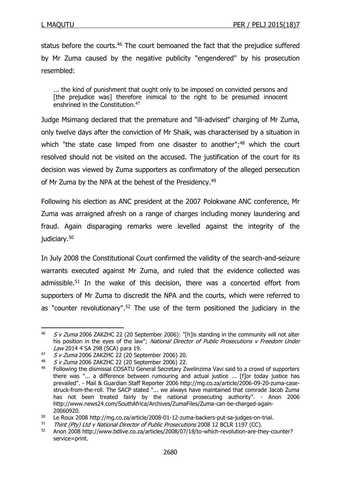status before the courts.<sup>46</sup> The court bemoaned the fact that the prejudice suffered by Mr Zuma caused by the negative publicity "engendered" by his prosecution resembled:

... the kind of punishment that ought only to be imposed on convicted persons and [the prejudice was] therefore inimical to the right to be presumed innocent enshrined in the Constitution.<sup>47</sup>

Judge Msimang declared that the premature and "ill-advised" charging of Mr Zuma, only twelve days after the conviction of Mr Shaik, was characterised by a situation in which "the state case limped from one disaster to another";<sup>48</sup> which the court resolved should not be visited on the accused. The justification of the court for its decision was viewed by Zuma supporters as confirmatory of the alleged persecution of Mr Zuma by the NPA at the behest of the Presidency.<sup>49</sup>

Following his election as ANC president at the 2007 Polokwane ANC conference, Mr Zuma was arraigned afresh on a range of charges including money laundering and fraud. Again disparaging remarks were levelled against the integrity of the judiciary.<sup>50</sup>

In July 2008 the Constitutional Court confirmed the validity of the search-and-seizure warrants executed against Mr Zuma, and ruled that the evidence collected was admissible.<sup>51</sup> In the wake of this decision, there was a concerted effort from supporters of Mr Zuma to discredit the NPA and the courts, which were referred to as "counter revolutionary".<sup>52</sup> The use of the term positioned the judiciary in the

<sup>1</sup>  $46$  S v Zuma 2006 ZAKZHC 22 (20 September 2006): "[h]is standing in the community will not alter his position in the eyes of the law"; National Director of Public Prosecutions v Freedom Under Law 2014 4 SA 298 (SCA) para 19.

 $47$  S v Zuma 2006 ZAKZHC 22 (20 September 2006) 20.

<sup>48</sup> S v Zuma 2006 ZAKZHC 22 (20 September 2006) 22.

<sup>49</sup> Following the dismissal COSATU General Secretary Zwelinzima Vavi said to a crowd of supporters there was "... a difference between rumouring and actual justice ... [f]or today justice has prevailed". - Mail & Guardian Staff Reporter 2006 http://mg.co.za/article/2006-09-20-zuma-casestruck-from-the-roll. The SACP stated "... we always have maintained that comrade Jacob Zuma has not been treated fairly by the national prosecuting authority". - Anon 2006 http://www.news24.com/SouthAfrica/Archives/ZumaFiles/Zuma-can-be-charged-again-20060920.

<sup>&</sup>lt;sup>50</sup> Le Roux 2008 http://mg.co.za/article/2008-01-12-zuma-backers-put-sa-judges-on-trial.<br>51 Thint (Ph) Ltd v National Director of Bublic Procesutions 2008 12 BCLB 1197 (CC)

 $51$  Thint (Pty) Ltd v National Director of Public Prosecutions 2008 12 BCLR 1197 (CC).<br> $52$  Anon 2008 http://www.pdlive.co.za/articles/2008/07/18/to-which-revolution-are-th

<sup>52</sup> Anon 2008 http://www.bdlive.co.za/articles/2008/07/18/to-which-revolution-are-they-counter? service=print.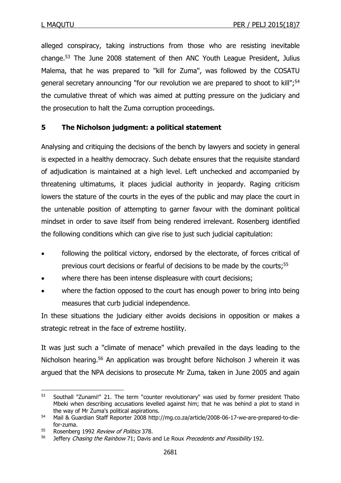alleged conspiracy, taking instructions from those who are resisting inevitable change.<sup>53</sup> The June 2008 statement of then ANC Youth League President, Julius Malema, that he was prepared to "kill for Zuma", was followed by the COSATU general secretary announcing "for our revolution we are prepared to shoot to kill";<sup>54</sup> the cumulative threat of which was aimed at putting pressure on the judiciary and the prosecution to halt the Zuma corruption proceedings.

# **5 The Nicholson judgment: a political statement**

Analysing and critiquing the decisions of the bench by lawyers and society in general is expected in a healthy democracy. Such debate ensures that the requisite standard of adjudication is maintained at a high level. Left unchecked and accompanied by threatening ultimatums, it places judicial authority in jeopardy. Raging criticism lowers the stature of the courts in the eyes of the public and may place the court in the untenable position of attempting to garner favour with the dominant political mindset in order to save itself from being rendered irrelevant. Rosenberg identified the following conditions which can give rise to just such judicial capitulation:

- following the political victory, endorsed by the electorate, of forces critical of previous court decisions or fearful of decisions to be made by the courts;<sup>55</sup>
- where there has been intense displeasure with court decisions;
- where the faction opposed to the court has enough power to bring into being measures that curb judicial independence.

In these situations the judiciary either avoids decisions in opposition or makes a strategic retreat in the face of extreme hostility.

It was just such a "climate of menace" which prevailed in the days leading to the Nicholson hearing.<sup>56</sup> An application was brought before Nicholson J wherein it was argued that the NPA decisions to prosecute Mr Zuma, taken in June 2005 and again

<sup>53</sup> Southall "Zunami!" 21. The term "counter revolutionary" was used by former president Thabo Mbeki when describing accusations levelled against him; that he was behind a plot to stand in the way of Mr Zuma's political aspirations.

<sup>54</sup> Mail & Guardian Staff Reporter 2008 http://mg.co.za/article/2008-06-17-we-are-prepared-to-diefor-zuma.

<sup>&</sup>lt;sup>55</sup> Rosenberg 1992 *Review of Politics* 378.

<sup>&</sup>lt;sup>56</sup> Jeffery Chasing the Rainbow 71; Davis and Le Roux Precedents and Possibility 192.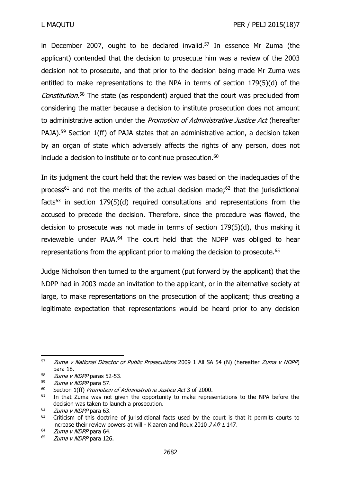in December 2007, ought to be declared invalid.<sup>57</sup> In essence Mr Zuma (the applicant) contended that the decision to prosecute him was a review of the 2003 decision not to prosecute, and that prior to the decision being made Mr Zuma was entitled to make representations to the NPA in terms of section 179(5)(d) of the Constitution.<sup>58</sup> The state (as respondent) argued that the court was precluded from considering the matter because a decision to institute prosecution does not amount to administrative action under the Promotion of Administrative Justice Act (hereafter PAJA).<sup>59</sup> Section 1(ff) of PAJA states that an administrative action, a decision taken by an organ of state which adversely affects the rights of any person, does not include a decision to institute or to continue prosecution.<sup>60</sup>

In its judgment the court held that the review was based on the inadequacies of the process<sup>61</sup> and not the merits of the actual decision made;<sup>62</sup> that the jurisdictional facts<sup>63</sup> in section 179(5)(d) required consultations and representations from the accused to precede the decision. Therefore, since the procedure was flawed, the decision to prosecute was not made in terms of section 179(5)(d), thus making it reviewable under PAJA.<sup>64</sup> The court held that the NDPP was obliged to hear representations from the applicant prior to making the decision to prosecute.<sup>65</sup>

Judge Nicholson then turned to the argument (put forward by the applicant) that the NDPP had in 2003 made an invitation to the applicant, or in the alternative society at large, to make representations on the prosecution of the applicant; thus creating a legitimate expectation that representations would be heard prior to any decision

**<sup>.</sup>**  $57$  *Zuma v National Director of Public Prosecutions* 2009 1 All SA 54 (N) (hereafter *Zuma v NDPP*) para 18.

 $58$  *Zuma v NDPP* paras 52-53.

<sup>59</sup> *Zuma v NDPP* para 57.

 $60$  Section 1(ff) Promotion of Administrative Justice Act 3 of 2000.

 $61$  In that Zuma was not given the opportunity to make representations to the NPA before the decision was taken to launch a prosecution.

 $\frac{62}{63}$  *Zuma v NDPP* para 63.

Criticism of this doctrine of jurisdictional facts used by the court is that it permits courts to increase their review powers at will - Klaaren and Roux 2010 J Afr L 147.

 $64$  *Zuma v NDPP* para 64.

<sup>&</sup>lt;sup>65</sup> *Zuma v NDPP* para 126.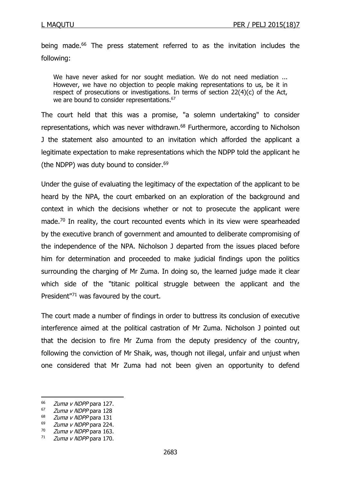being made.<sup>66</sup> The press statement referred to as the invitation includes the following:

We have never asked for nor sought mediation. We do not need mediation ... However, we have no objection to people making representations to us, be it in respect of prosecutions or investigations. In terms of section 22(4)(c) of the Act, we are bound to consider representations.<sup>67</sup>

The court held that this was a promise, "a solemn undertaking" to consider representations, which was never withdrawn. $68$  Furthermore, according to Nicholson J the statement also amounted to an invitation which afforded the applicant a legitimate expectation to make representations which the NDPP told the applicant he (the NDPP) was duty bound to consider. $69$ 

Under the guise of evaluating the legitimacy of the expectation of the applicant to be heard by the NPA, the court embarked on an exploration of the background and context in which the decisions whether or not to prosecute the applicant were made.<sup>70</sup> In reality, the court recounted events which in its view were spearheaded by the executive branch of government and amounted to deliberate compromising of the independence of the NPA. Nicholson J departed from the issues placed before him for determination and proceeded to make judicial findings upon the politics surrounding the charging of Mr Zuma. In doing so, the learned judge made it clear which side of the "titanic political struggle between the applicant and the President<sup>"71</sup> was favoured by the court.

The court made a number of findings in order to buttress its conclusion of executive interference aimed at the political castration of Mr Zuma. Nicholson J pointed out that the decision to fire Mr Zuma from the deputy presidency of the country, following the conviction of Mr Shaik, was, though not illegal, unfair and unjust when one considered that Mr Zuma had not been given an opportunity to defend

<sup>&</sup>lt;sup>66</sup> *Zuma v NDPP* para 127.

 $\frac{67}{68}$  *Zuma v NDPP* para 128

 $^{68}$  *Zuma v NDPP* para 131

 $\frac{69}{70}$  *Zuma v NDPP* para 224. Zuma v NDPP para 163.

 $71$  Zuma v NDPP para 170.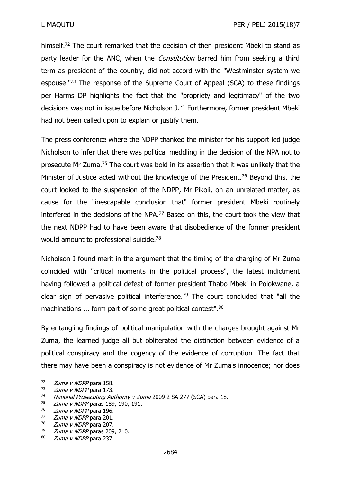himself.<sup>72</sup> The court remarked that the decision of then president Mbeki to stand as party leader for the ANC, when the *Constitution* barred him from seeking a third term as president of the country, did not accord with the "Westminster system we espouse.<sup>"73</sup> The response of the Supreme Court of Appeal (SCA) to these findings per Harms DP highlights the fact that the "propriety and legitimacy" of the two decisions was not in issue before Nicholson J. <sup>74</sup> Furthermore, former president Mbeki had not been called upon to explain or justify them.

The press conference where the NDPP thanked the minister for his support led judge Nicholson to infer that there was political meddling in the decision of the NPA not to prosecute Mr Zuma.<sup>75</sup> The court was bold in its assertion that it was unlikely that the Minister of Justice acted without the knowledge of the President.<sup>76</sup> Beyond this, the court looked to the suspension of the NDPP, Mr Pikoli, on an unrelated matter, as cause for the "inescapable conclusion that" former president Mbeki routinely interfered in the decisions of the NPA.<sup>77</sup> Based on this, the court took the view that the next NDPP had to have been aware that disobedience of the former president would amount to professional suicide.<sup>78</sup>

Nicholson J found merit in the argument that the timing of the charging of Mr Zuma coincided with "critical moments in the political process", the latest indictment having followed a political defeat of former president Thabo Mbeki in Polokwane, a clear sign of pervasive political interference.<sup>79</sup> The court concluded that "all the machinations ... form part of some great political contest".<sup>80</sup>

By entangling findings of political manipulation with the charges brought against Mr Zuma, the learned judge all but obliterated the distinction between evidence of a political conspiracy and the cogency of the evidence of corruption. The fact that there may have been a conspiracy is not evidence of Mr Zuma's innocence; nor does

<sup>72</sup> *Zuma v NDPP* para 158.

 $73$  *Zuma v NDPP* para 173.

<sup>74</sup> National Prosecuting Authority v Zuma 2009 2 SA 277 (SCA) para 18.

Zuma v NDPP paras 189, 190, 191.

 $\frac{76}{77}$  *Zuma v NDPP* para 196.

 $\frac{77}{78}$  *Zuma v NDPP* para 201.

 $\frac{78}{79}$  *Zuma v NDPP* para 207.<br> $\frac{78}{79}$  *Zuma v NDPP* paras 209

Zuma v NDPP paras 209, 210.

<sup>80</sup> *Zuma v NDPP* para 237.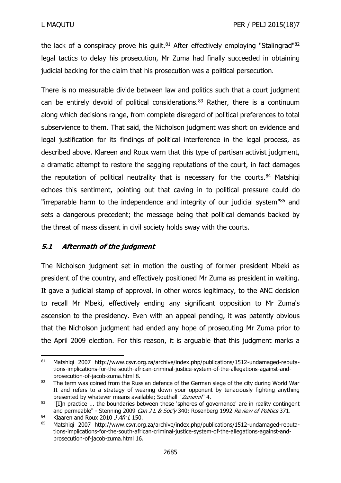the lack of a conspiracy prove his guilt. $81$  After effectively employing "Stalingrad" $82$ legal tactics to delay his prosecution, Mr Zuma had finally succeeded in obtaining judicial backing for the claim that his prosecution was a political persecution.

There is no measurable divide between law and politics such that a court judgment can be entirely devoid of political considerations. $83$  Rather, there is a continuum along which decisions range, from complete disregard of political preferences to total subservience to them. That said, the Nicholson judgment was short on evidence and legal justification for its findings of political interference in the legal process, as described above. Klareen and Roux warn that this type of partisan activist judgment, a dramatic attempt to restore the sagging reputations of the court, in fact damages the reputation of political neutrality that is necessary for the courts. $84$  Matshigi echoes this sentiment, pointing out that caving in to political pressure could do "irreparable harm to the independence and integrity of our judicial system<sup>185</sup> and sets a dangerous precedent; the message being that political demands backed by the threat of mass dissent in civil society holds sway with the courts.

# **5.1 Aftermath of the judgment**

The Nicholson judgment set in motion the ousting of former president Mbeki as president of the country, and effectively positioned Mr Zuma as president in waiting. It gave a judicial stamp of approval, in other words legitimacy, to the ANC decision to recall Mr Mbeki, effectively ending any significant opposition to Mr Zuma's ascension to the presidency. Even with an appeal pending, it was patently obvious that the Nicholson judgment had ended any hope of prosecuting Mr Zuma prior to the April 2009 election. For this reason, it is arguable that this judgment marks a

**<sup>.</sup>** 81 Matshigi 2007 http://www.csvr.org.za/archive/index.php/publications/1512-undamaged-reputations-implications-for-the-south-african-criminal-justice-system-of-the-allegations-against-andprosecution-of-jacob-zuma.html 8.

 $82$  The term was coined from the Russian defence of the German siege of the city during World War II and refers to a strategy of wearing down your opponent by tenaciously fighting anything presented by whatever means available; Southall "Zunami!" 4.

<sup>83</sup> "[I]n practice ... the boundaries between these 'spheres of governance' are in reality contingent and permeable" - Stenning 2009 Can J L & Soc'y 340; Rosenberg 1992 Review of Politics 371.

<sup>&</sup>lt;sup>84</sup> Klaaren and Roux 2010 J Afr L 150.<br><sup>85</sup> Matshigi, 2007, http://www.csvr.org

Matshigi 2007 http://www.csvr.org.za/archive/index.php/publications/1512-undamaged-reputations-implications-for-the-south-african-criminal-justice-system-of-the-allegations-against-andprosecution-of-jacob-zuma.html 16.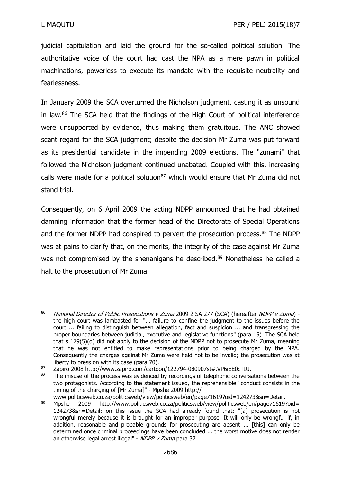judicial capitulation and laid the ground for the so-called political solution. The authoritative voice of the court had cast the NPA as a mere pawn in political machinations, powerless to execute its mandate with the requisite neutrality and fearlessness.

In January 2009 the SCA overturned the Nicholson judgment, casting it as unsound in law.<sup>86</sup> The SCA held that the findings of the High Court of political interference were unsupported by evidence, thus making them gratuitous. The ANC showed scant regard for the SCA judgment; despite the decision Mr Zuma was put forward as its presidential candidate in the impending 2009 elections. The "zunami" that followed the Nicholson judgment continued unabated. Coupled with this, increasing calls were made for a political solution<sup>87</sup> which would ensure that Mr Zuma did not stand trial.

Consequently, on 6 April 2009 the acting NDPP announced that he had obtained damning information that the former head of the Directorate of Special Operations and the former NDPP had conspired to pervert the prosecution process.<sup>88</sup> The NDPP was at pains to clarify that, on the merits, the integrity of the case against Mr Zuma was not compromised by the shenanigans he described.<sup>89</sup> Nonetheless he called a halt to the prosecution of Mr Zuma.

**<sup>.</sup>** 86 National Director of Public Prosecutions v Zuma 2009 2 SA 277 (SCA) (hereafter NDPP v Zuma) the high court was lambasted for "... failure to confine the judgment to the issues before the court ... failing to distinguish between allegation, fact and suspicion ... and transgressing the proper boundaries between judicial, executive and legislative functions" (para 15). The SCA held that s 179(5)(d) did not apply to the decision of the NDPP not to prosecute Mr Zuma, meaning that he was not entitled to make representations prior to being charged by the NPA. Consequently the charges against Mr Zuma were held not to be invalid; the prosecution was at liberty to press on with its case (para 70).

<sup>87</sup> Zapiro 2008 http://www.zapiro.com/cartoon/122794-080907st#.VP6iEE0cTIU.

<sup>&</sup>lt;sup>88</sup> The misuse of the process was evidenced by recordings of telephonic conversations between the two protagonists. According to the statement issued, the reprehensible "conduct consists in the timing of the charging of [Mr Zuma]" - Mpshe 2009 http://

www.politicsweb.co.za/politicsweb/view/politicsweb/en/page71619?oid=124273&sn=Detail.

<sup>89</sup> Mpshe 2009 http://www.politicsweb.co.za/politicsweb/view/politicsweb/en/page71619?oid= 124273&sn=Detail; on this issue the SCA had already found that: "[a] prosecution is not wrongful merely because it is brought for an improper purpose. It will only be wrongful if, in addition, reasonable and probable grounds for prosecuting are absent ... [this] can only be determined once criminal proceedings have been concluded ... the worst motive does not render an otherwise legal arrest illegal" - NDPP v Zuma para 37.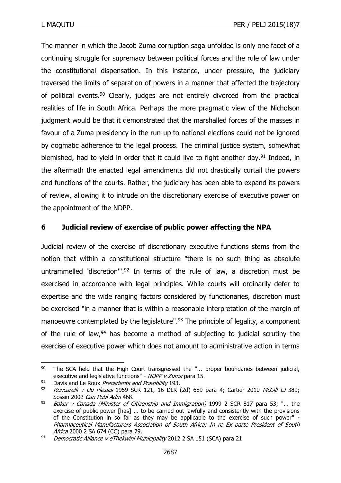The manner in which the Jacob Zuma corruption saga unfolded is only one facet of a continuing struggle for supremacy between political forces and the rule of law under the constitutional dispensation. In this instance, under pressure, the judiciary traversed the limits of separation of powers in a manner that affected the trajectory of political events.<sup>90</sup> Clearly, judges are not entirely divorced from the practical realities of life in South Africa. Perhaps the more pragmatic view of the Nicholson judgment would be that it demonstrated that the marshalled forces of the masses in favour of a Zuma presidency in the run-up to national elections could not be ignored by dogmatic adherence to the legal process. The criminal justice system, somewhat blemished, had to yield in order that it could live to fight another day.<sup>91</sup> Indeed, in the aftermath the enacted legal amendments did not drastically curtail the powers and functions of the courts. Rather, the judiciary has been able to expand its powers of review, allowing it to intrude on the discretionary exercise of executive power on the appointment of the NDPP.

# **6 Judicial review of exercise of public power affecting the NPA**

Judicial review of the exercise of discretionary executive functions stems from the notion that within a constitutional structure "there is no such thing as absolute untrammelled 'discretion'". <sup>92</sup> In terms of the rule of law, a discretion must be exercised in accordance with legal principles. While courts will ordinarily defer to expertise and the wide ranging factors considered by functionaries, discretion must be exercised "in a manner that is within a reasonable interpretation of the margin of manoeuvre contemplated by the legislature".<sup>93</sup> The principle of legality, a component of the rule of law, $94$  has become a method of subjecting to judicial scrutiny the exercise of executive power which does not amount to administrative action in terms

<sup>90</sup> The SCA held that the High Court transgressed the "... proper boundaries between judicial, executive and legislative functions" - NDPP v Zuma para 15.

 $91$  Davis and Le Roux Precedents and Possibility 193.

<sup>92</sup> Roncarelli v Du Plessis 1959 SCR 121, 16 DLR (2d) 689 para 4; Cartier 2010 McGill LJ 389; Sossin 2002 Can Publ Adm 468.

 $93$  Baker v Canada (Minister of Citizenship and Immigration) 1999 2 SCR 817 para 53; "... the exercise of public power [has] ... to be carried out lawfully and consistently with the provisions of the Constitution in so far as they may be applicable to the exercise of such power" - Pharmaceutical Manufacturers Association of South Africa: In re Ex parte President of South Africa 2000 2 SA 674 (CC) para 79.

<sup>94</sup> Democratic Alliance v eThekwini Municipality 2012 2 SA 151 (SCA) para 21.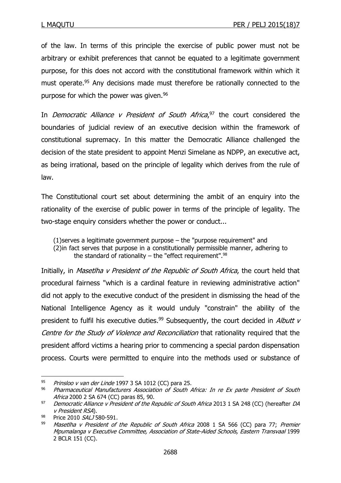of the law. In terms of this principle the exercise of public power must not be arbitrary or exhibit preferences that cannot be equated to a legitimate government purpose, for this does not accord with the constitutional framework within which it must operate.<sup>95</sup> Any decisions made must therefore be rationally connected to the purpose for which the power was given.<sup>96</sup>

In Democratic Alliance v President of South Africa, $97$  the court considered the boundaries of judicial review of an executive decision within the framework of constitutional supremacy. In this matter the Democratic Alliance challenged the decision of the state president to appoint Menzi Simelane as NDPP, an executive act, as being irrational, based on the principle of legality which derives from the rule of law.

The Constitutional court set about determining the ambit of an enquiry into the rationality of the exercise of public power in terms of the principle of legality. The two-stage enquiry considers whether the power or conduct...

(1)serves a legitimate government purpose – the "purpose requirement" and (2)in fact serves that purpose in a constitutionally permissible manner, adhering to the standard of rationality – the "effect requirement".<sup>98</sup>

Initially, in Masetlha v President of the Republic of South Africa, the court held that procedural fairness "which is a cardinal feature in reviewing administrative action" did not apply to the executive conduct of the president in dismissing the head of the National Intelligence Agency as it would unduly "constrain" the ability of the president to fulfil his executive duties.<sup>99</sup> Subsequently, the court decided in *Albutt v* Centre for the Study of Violence and Reconciliation that rationality required that the president afford victims a hearing prior to commencing a special pardon dispensation process. Courts were permitted to enquire into the methods used or substance of

<sup>95</sup> Prinsloo v van der Linde 1997 3 SA 1012 (CC) para 25.

<sup>96</sup> Pharmaceutical Manufacturers Association of South Africa: In re Ex parte President of South Africa 2000 2 SA 674 (CC) paras 85, 90.

<sup>97</sup> Democratic Alliance v President of the Republic of South Africa 2013 1 SA 248 (CC) (hereafter DA v President RSA).

<sup>&</sup>lt;sup>98</sup> Price 2010 *SALJ* 580-591.

Masetlha v President of the Republic of South Africa 2008 1 SA 566 (CC) para 77; Premier Mpumalanga v Executive Committee, Association of State-Aided Schools, Eastern Transvaal 1999 2 BCLR 151 (CC).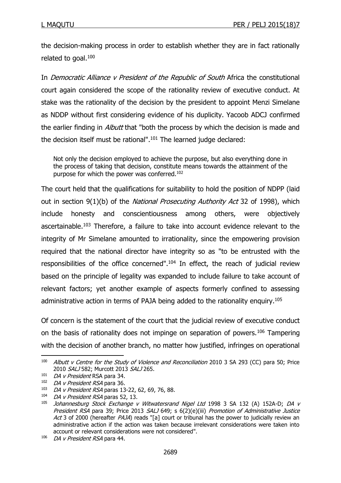the decision-making process in order to establish whether they are in fact rationally related to goal.<sup>100</sup>

In Democratic Alliance v President of the Republic of South Africa the constitutional court again considered the scope of the rationality review of executive conduct. At stake was the rationality of the decision by the president to appoint Menzi Simelane as NDDP without first considering evidence of his duplicity. Yacoob ADCJ confirmed the earlier finding in *Albutt* that "both the process by which the decision is made and the decision itself must be rational".<sup>101</sup> The learned judge declared:

Not only the decision employed to achieve the purpose, but also everything done in the process of taking that decision, constitute means towards the attainment of the purpose for which the power was conferred.<sup>102</sup>

The court held that the qualifications for suitability to hold the position of NDPP (laid out in section 9(1)(b) of the National Prosecuting Authority Act 32 of 1998), which include honesty and conscientiousness among others, were objectively ascertainable.<sup>103</sup> Therefore, a failure to take into account evidence relevant to the integrity of Mr Simelane amounted to irrationality, since the empowering provision required that the national director have integrity so as "to be entrusted with the responsibilities of the office concerned".<sup>104</sup> In effect, the reach of judicial review based on the principle of legality was expanded to include failure to take account of relevant factors; yet another example of aspects formerly confined to assessing administrative action in terms of PAJA being added to the rationality enquiry.<sup>105</sup>

Of concern is the statement of the court that the judicial review of executive conduct on the basis of rationality does not impinge on separation of powers.<sup>106</sup> Tampering with the decision of another branch, no matter how justified, infringes on operational

 $100$  Albutt v Centre for the Study of Violence and Reconciliation 2010 3 SA 293 (CC) para 50; Price 2010 SALJ 582; Murcott 2013 SALJ 265.

 $101$  DA v President RSA para 34.

<sup>102</sup> DA v President RSA para 36.

<sup>103</sup> DA v President RSA paras 13-22, 62, 69, 76, 88.

<sup>104</sup> DA v President RSA paras 52, 13.

<sup>&</sup>lt;sup>105</sup> Johannesburg Stock Exchange v Witwatersrand Nigel Ltd 1998 3 SA 132 (A) 152A-D; DA v President RSA para 39; Price 2013 SALJ 649; s 6(2)(e)(iii) Promotion of Administrative Justice Act 3 of 2000 (hereafter PAJA) reads "[a] court or tribunal has the power to judicially review an administrative action if the action was taken because irrelevant considerations were taken into account or relevant considerations were not considered".

<sup>106</sup> DA v President RSA para 44.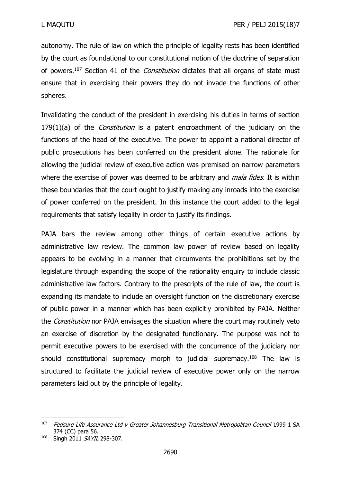autonomy. The rule of law on which the principle of legality rests has been identified by the court as foundational to our constitutional notion of the doctrine of separation of powers.<sup>107</sup> Section 41 of the *Constitution* dictates that all organs of state must ensure that in exercising their powers they do not invade the functions of other spheres.

Invalidating the conduct of the president in exercising his duties in terms of section  $179(1)(a)$  of the *Constitution* is a patent encroachment of the judiciary on the functions of the head of the executive. The power to appoint a national director of public prosecutions has been conferred on the president alone. The rationale for allowing the judicial review of executive action was premised on narrow parameters where the exercise of power was deemed to be arbitrary and *mala fides*. It is within these boundaries that the court ought to justify making any inroads into the exercise of power conferred on the president. In this instance the court added to the legal requirements that satisfy legality in order to justify its findings.

PAJA bars the review among other things of certain executive actions by administrative law review. The common law power of review based on legality appears to be evolving in a manner that circumvents the prohibitions set by the legislature through expanding the scope of the rationality enquiry to include classic administrative law factors. Contrary to the prescripts of the rule of law, the court is expanding its mandate to include an oversight function on the discretionary exercise of public power in a manner which has been explicitly prohibited by PAJA. Neither the *Constitution* nor PAJA envisages the situation where the court may routinely veto an exercise of discretion by the designated functionary. The purpose was not to permit executive powers to be exercised with the concurrence of the judiciary nor should constitutional supremacy morph to judicial supremacy.<sup>108</sup> The law is structured to facilitate the judicial review of executive power only on the narrow parameters laid out by the principle of legality.

<sup>&</sup>lt;sup>107</sup> Fedsure Life Assurance Ltd v Greater Johannesburg Transitional Metropolitan Council 1999 1 SA 374 (CC) para 56.

<sup>108</sup> Singh 2011 SAYIL 298-307.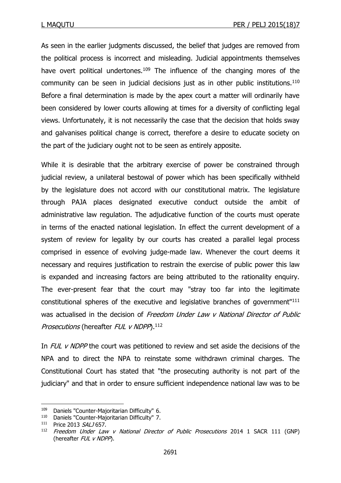As seen in the earlier judgments discussed, the belief that judges are removed from the political process is incorrect and misleading. Judicial appointments themselves have overt political undertones.<sup>109</sup> The influence of the changing mores of the community can be seen in judicial decisions just as in other public institutions.<sup>110</sup> Before a final determination is made by the apex court a matter will ordinarily have been considered by lower courts allowing at times for a diversity of conflicting legal views. Unfortunately, it is not necessarily the case that the decision that holds sway and galvanises political change is correct, therefore a desire to educate society on the part of the judiciary ought not to be seen as entirely apposite.

While it is desirable that the arbitrary exercise of power be constrained through judicial review, a unilateral bestowal of power which has been specifically withheld by the legislature does not accord with our constitutional matrix. The legislature through PAJA places designated executive conduct outside the ambit of administrative law regulation. The adjudicative function of the courts must operate in terms of the enacted national legislation. In effect the current development of a system of review for legality by our courts has created a parallel legal process comprised in essence of evolving judge-made law. Whenever the court deems it necessary and requires justification to restrain the exercise of public power this law is expanded and increasing factors are being attributed to the rationality enquiry. The ever-present fear that the court may "stray too far into the legitimate constitutional spheres of the executive and legislative branches of government" 111 was actualised in the decision of Freedom Under Law v National Director of Public Prosecutions (hereafter FUL v NDPP).<sup>112</sup>

In FUL v NDPP the court was petitioned to review and set aside the decisions of the NPA and to direct the NPA to reinstate some withdrawn criminal charges. The Constitutional Court has stated that "the prosecuting authority is not part of the judiciary" and that in order to ensure sufficient independence national law was to be

<sup>&</sup>lt;sup>109</sup> Daniels "Counter-Majoritarian Difficulty" 6.<br><sup>110</sup> Daniels "Counter-Majoritarian Difficulty" 7.

Daniels "Counter-Majoritarian Difficulty" 7.

<sup>111</sup> Price 2013 SALJ 657.

<sup>&</sup>lt;sup>112</sup> Freedom Under Law v National Director of Public Prosecutions 2014 1 SACR 111 (GNP) (hereafter FUL v NDPP).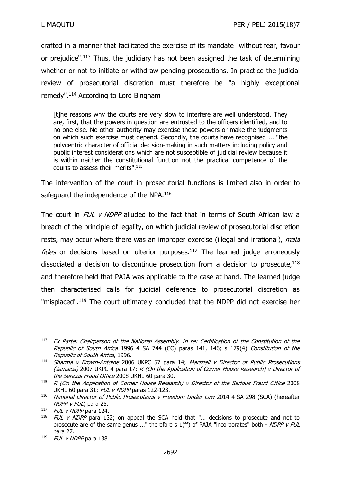crafted in a manner that facilitated the exercise of its mandate "without fear, favour or prejudice". <sup>113</sup> Thus, the judiciary has not been assigned the task of determining whether or not to initiate or withdraw pending prosecutions. In practice the judicial review of prosecutorial discretion must therefore be "a highly exceptional remedy". <sup>114</sup> According to Lord Bingham

[t]he reasons why the courts are very slow to interfere are well understood. They are, first, that the powers in question are entrusted to the officers identified, and to no one else. No other authority may exercise these powers or make the judgments on which such exercise must depend. Secondly, the courts have recognised ... "the polycentric character of official decision-making in such matters including policy and public interest considerations which are not susceptible of judicial review because it is within neither the constitutional function not the practical competence of the courts to assess their merits". 115

The intervention of the court in prosecutorial functions is limited also in order to safeguard the independence of the NPA.<sup>116</sup>

The court in FUL v NDPP alluded to the fact that in terms of South African law a breach of the principle of legality, on which judicial review of prosecutorial discretion rests, may occur where there was an improper exercise (illegal and irrational), mala  $fides$  or decisions based on ulterior purposes.<sup>117</sup> The learned judge erroneously dissociated a decision to discontinue prosecution from a decision to prosecute,  $118$ and therefore held that PAJA was applicable to the case at hand. The learned judge then characterised calls for judicial deference to prosecutorial discretion as "misplaced". <sup>119</sup> The court ultimately concluded that the NDPP did not exercise her

 $113$  Ex Parte: Chairperson of the National Assembly. In re: Certification of the Constitution of the Republic of South Africa 1996 4 SA 744 (CC) paras 141, 146; s 179(4) Constitution of the Republic of South Africa, 1996.

 $114$  Sharma v Brown-Antoine 2006 UKPC 57 para 14; Marshall v Director of Public Prosecutions (Jamaica) 2007 UKPC 4 para 17;  $R$  (On the Application of Corner House Research) v Director of the Serious Fraud Office 2008 UKHL 60 para 30.

 $115$  R (On the Application of Corner House Research) v Director of the Serious Fraud Office 2008 UKHL 60 para 31; FUL v NDPP paras 122-123.

<sup>&</sup>lt;sup>116</sup> National Director of Public Prosecutions v Freedom Under Law 2014 4 SA 298 (SCA) (hereafter NDPP v FUL) para 25.

<sup>&</sup>lt;sup>117</sup> FUL v NDPP para 124.

FUL v NDPP para 132; on appeal the SCA held that "... decisions to prosecute and not to prosecute are of the same genus ..." therefore s 1(ff) of PAJA "incorporates" both - NDPP v FUL para 27.

 $119$  FUL v NDPP para 138.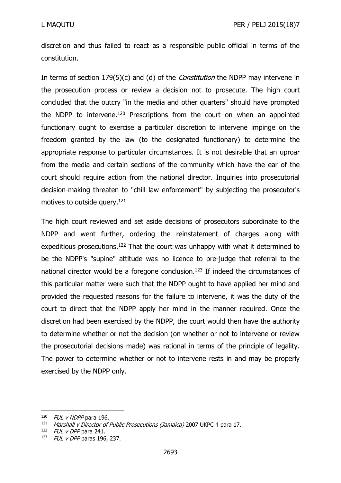discretion and thus failed to react as a responsible public official in terms of the constitution.

In terms of section 179(5)(c) and (d) of the *Constitution* the NDPP may intervene in the prosecution process or review a decision not to prosecute. The high court concluded that the outcry "in the media and other quarters" should have prompted the NDPP to intervene.<sup>120</sup> Prescriptions from the court on when an appointed functionary ought to exercise a particular discretion to intervene impinge on the freedom granted by the law (to the designated functionary) to determine the appropriate response to particular circumstances. It is not desirable that an uproar from the media and certain sections of the community which have the ear of the court should require action from the national director. Inquiries into prosecutorial decision-making threaten to "chill law enforcement" by subjecting the prosecutor's motives to outside query. 121

The high court reviewed and set aside decisions of prosecutors subordinate to the NDPP and went further, ordering the reinstatement of charges along with expeditious prosecutions.<sup>122</sup> That the court was unhappy with what it determined to be the NDPP's "supine" attitude was no licence to pre-judge that referral to the national director would be a foregone conclusion.<sup>123</sup> If indeed the circumstances of this particular matter were such that the NDPP ought to have applied her mind and provided the requested reasons for the failure to intervene, it was the duty of the court to direct that the NDPP apply her mind in the manner required. Once the discretion had been exercised by the NDPP, the court would then have the authority to determine whether or not the decision (on whether or not to intervene or review the prosecutorial decisions made) was rational in terms of the principle of legality. The power to determine whether or not to intervene rests in and may be properly exercised by the NDPP only.

 $120$  FUL v NDPP para 196.

Marshall v Director of Public Prosecutions (Jamaica) 2007 UKPC 4 para 17.

 $122$  FUL v DPP para 241.

 $123$  FUL v DPP paras 196, 237.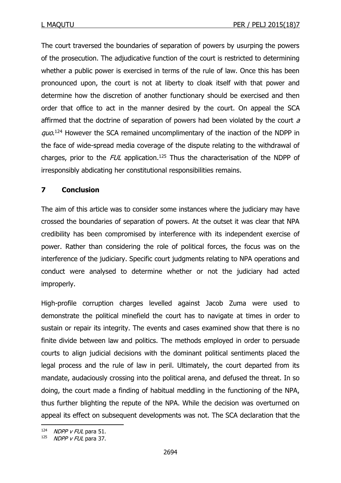The court traversed the boundaries of separation of powers by usurping the powers of the prosecution. The adjudicative function of the court is restricted to determining whether a public power is exercised in terms of the rule of law. Once this has been pronounced upon, the court is not at liberty to cloak itself with that power and determine how the discretion of another functionary should be exercised and then order that office to act in the manner desired by the court. On appeal the SCA affirmed that the doctrine of separation of powers had been violated by the court  $a$ quo.<sup>124</sup> However the SCA remained uncomplimentary of the inaction of the NDPP in the face of wide-spread media coverage of the dispute relating to the withdrawal of charges, prior to the  $FUL$  application.<sup>125</sup> Thus the characterisation of the NDPP of irresponsibly abdicating her constitutional responsibilities remains.

# **7 Conclusion**

The aim of this article was to consider some instances where the judiciary may have crossed the boundaries of separation of powers. At the outset it was clear that NPA credibility has been compromised by interference with its independent exercise of power. Rather than considering the role of political forces, the focus was on the interference of the judiciary. Specific court judgments relating to NPA operations and conduct were analysed to determine whether or not the judiciary had acted improperly.

High-profile corruption charges levelled against Jacob Zuma were used to demonstrate the political minefield the court has to navigate at times in order to sustain or repair its integrity. The events and cases examined show that there is no finite divide between law and politics. The methods employed in order to persuade courts to align judicial decisions with the dominant political sentiments placed the legal process and the rule of law in peril. Ultimately, the court departed from its mandate, audaciously crossing into the political arena, and defused the threat. In so doing, the court made a finding of habitual meddling in the functioning of the NPA, thus further blighting the repute of the NPA. While the decision was overturned on appeal its effect on subsequent developments was not. The SCA declaration that the

**<sup>.</sup>**  $124$  *NDPP v FUL* para 51.

 $125$  NDPP v FUL para 37.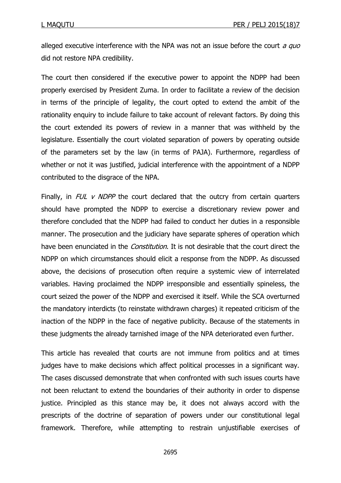alleged executive interference with the NPA was not an issue before the court  $a$  quo did not restore NPA credibility.

The court then considered if the executive power to appoint the NDPP had been properly exercised by President Zuma. In order to facilitate a review of the decision in terms of the principle of legality, the court opted to extend the ambit of the rationality enquiry to include failure to take account of relevant factors. By doing this the court extended its powers of review in a manner that was withheld by the legislature. Essentially the court violated separation of powers by operating outside of the parameters set by the law (in terms of PAJA). Furthermore, regardless of whether or not it was justified, judicial interference with the appointment of a NDPP contributed to the disgrace of the NPA.

Finally, in  $FUL$  v NDPP the court declared that the outcry from certain quarters should have prompted the NDPP to exercise a discretionary review power and therefore concluded that the NDPP had failed to conduct her duties in a responsible manner. The prosecution and the judiciary have separate spheres of operation which have been enunciated in the *Constitution*. It is not desirable that the court direct the NDPP on which circumstances should elicit a response from the NDPP. As discussed above, the decisions of prosecution often require a systemic view of interrelated variables. Having proclaimed the NDPP irresponsible and essentially spineless, the court seized the power of the NDPP and exercised it itself. While the SCA overturned the mandatory interdicts (to reinstate withdrawn charges) it repeated criticism of the inaction of the NDPP in the face of negative publicity. Because of the statements in these judgments the already tarnished image of the NPA deteriorated even further.

This article has revealed that courts are not immune from politics and at times judges have to make decisions which affect political processes in a significant way. The cases discussed demonstrate that when confronted with such issues courts have not been reluctant to extend the boundaries of their authority in order to dispense justice. Principled as this stance may be, it does not always accord with the prescripts of the doctrine of separation of powers under our constitutional legal framework. Therefore, while attempting to restrain unjustifiable exercises of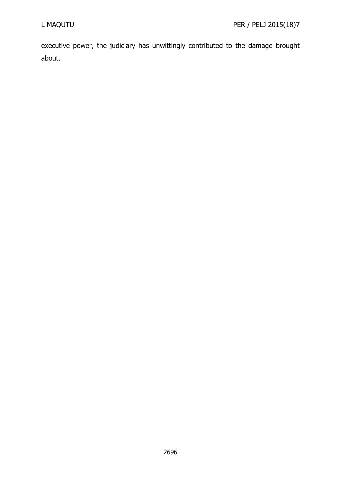executive power, the judiciary has unwittingly contributed to the damage brought about.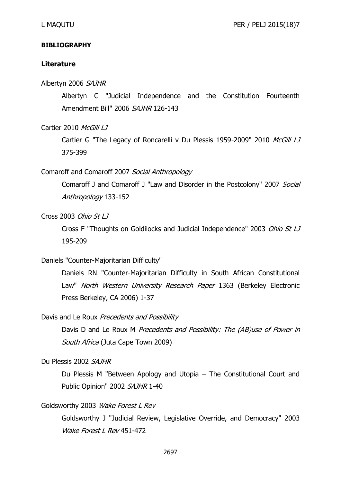#### **BIBLIOGRAPHY**

#### **Literature**

#### Albertyn 2006 SAJHR

Albertyn C "Judicial Independence and the Constitution Fourteenth Amendment Bill" 2006 SAJHR 126-143

Cartier 2010 McGill LJ

Cartier G "The Legacy of Roncarelli v Du Plessis 1959-2009" 2010 McGill LJ 375-399

#### Comaroff and Comaroff 2007 Social Anthropology

Comaroff J and Comaroff J "Law and Disorder in the Postcolony" 2007 Social Anthropology 133-152

# Cross 2003 Ohio St LJ

Cross F "Thoughts on Goldilocks and Judicial Independence" 2003 Ohio St LJ 195-209

# Daniels "Counter-Majoritarian Difficulty"

Daniels RN "Counter-Majoritarian Difficulty in South African Constitutional Law" North Western University Research Paper 1363 (Berkeley Electronic Press Berkeley, CA 2006) 1-37

#### Davis and Le Roux Precedents and Possibility

Davis D and Le Roux M Precedents and Possibility: The (AB)use of Power in South Africa (Juta Cape Town 2009)

#### Du Plessis 2002 SAJHR

Du Plessis M "Between Apology and Utopia – The Constitutional Court and Public Opinion" 2002 SAJHR 1-40

#### Goldsworthy 2003 Wake Forest L Rev

Goldsworthy J "Judicial Review, Legislative Override, and Democracy" 2003 Wake Forest L Rev 451-472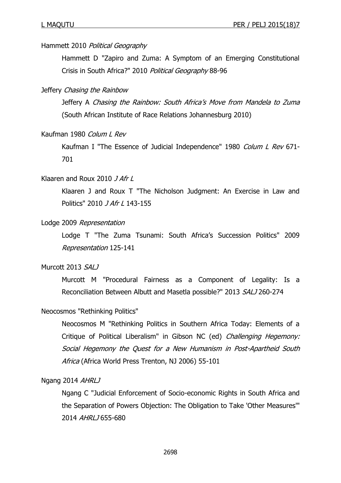#### Hammett 2010 Political Geography

Hammett D "Zapiro and Zuma: A Symptom of an Emerging Constitutional Crisis in South Africa?" 2010 Political Geography 88-96

#### Jeffery Chasing the Rainbow

Jeffery A Chasing the Rainbow: South Africa's Move from Mandela to Zuma (South African Institute of Race Relations Johannesburg 2010)

#### Kaufman 1980 Colum L Rev

Kaufman I "The Essence of Judicial Independence" 1980 Colum L Rev 671-701

#### Klaaren and Roux 2010 J Afr L

Klaaren J and Roux T "The Nicholson Judgment: An Exercise in Law and Politics" 2010 J Afr L 143-155

#### Lodge 2009 Representation

Lodge T "The Zuma Tsunami: South Africa's Succession Politics" 2009 Representation 125-141

# Murcott 2013 SALJ

Murcott M "Procedural Fairness as a Component of Legality: Is a Reconciliation Between Albutt and Masetla possible?" 2013 SALJ 260-274

#### Neocosmos "Rethinking Politics"

Neocosmos M "Rethinking Politics in Southern Africa Today: Elements of a Critique of Political Liberalism" in Gibson NC (ed) Challenging Hegemony: Social Hegemony the Quest for a New Humanism in Post-Apartheid South Africa (Africa World Press Trenton, NJ 2006) 55-101

#### Ngang 2014 AHRLJ

Ngang C "Judicial Enforcement of Socio-economic Rights in South Africa and the Separation of Powers Objection: The Obligation to Take 'Other Measures'" 2014 AHRLJ 655-680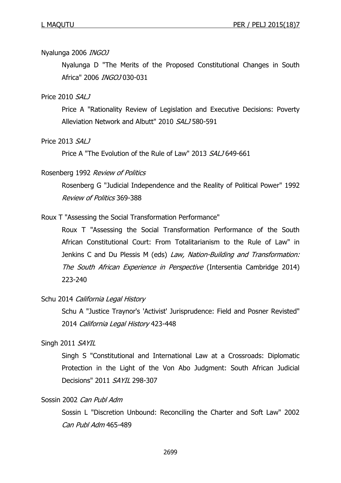#### Nyalunga 2006 INGOJ

Nyalunga D "The Merits of the Proposed Constitutional Changes in South Africa" 2006 INGOJ 030-031

#### Price 2010 SALJ

Price A "Rationality Review of Legislation and Executive Decisions: Poverty Alleviation Network and Albutt" 2010 SALJ 580-591

#### Price 2013 SALJ

Price A "The Evolution of the Rule of Law" 2013 SALJ 649-661

#### Rosenberg 1992 Review of Politics

Rosenberg G "Judicial Independence and the Reality of Political Power" 1992 Review of Politics 369-388

#### Roux T "Assessing the Social Transformation Performance"

Roux T "Assessing the Social Transformation Performance of the South African Constitutional Court: From Totalitarianism to the Rule of Law" in Jenkins C and Du Plessis M (eds) Law, Nation-Building and Transformation: The South African Experience in Perspective (Intersentia Cambridge 2014) 223-240

#### Schu 2014 California Legal History

Schu A "Justice Traynor's 'Activist' Jurisprudence: Field and Posner Revisted" 2014 California Legal History 423-448

#### Singh 2011 SAYIL

Singh S "Constitutional and International Law at a Crossroads: Diplomatic Protection in the Light of the Von Abo Judgment: South African Judicial Decisions" 2011 SAYIL 298-307

#### Sossin 2002 Can Publ Adm

Sossin L "Discretion Unbound: Reconciling the Charter and Soft Law" 2002 Can Publ Adm 465-489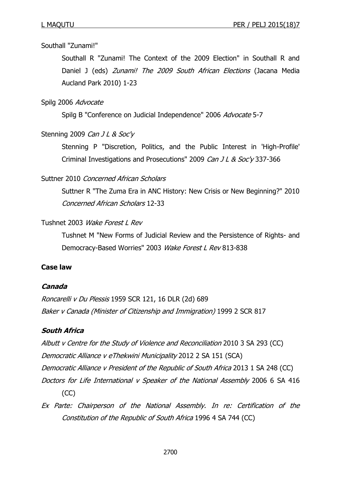#### Southall "Zunami!"

Southall R "Zunami! The Context of the 2009 Election" in Southall R and Daniel J (eds) Zunami! The 2009 South African Elections (Jacana Media Aucland Park 2010) 1-23

#### Spilg 2006 Advocate

Spilg B "Conference on Judicial Independence" 2006 Advocate 5-7

#### Stenning 2009 Can J L & Soc'y

Stenning P "Discretion, Politics, and the Public Interest in 'High-Profile' Criminal Investigations and Prosecutions" 2009 Can J L & Soc'y 337-366

#### Suttner 2010 Concerned African Scholars

Suttner R "The Zuma Era in ANC History: New Crisis or New Beginning?" 2010 Concerned African Scholars 12-33

#### Tushnet 2003 Wake Forest L Rev

Tushnet M "New Forms of Judicial Review and the Persistence of Rights- and Democracy-Based Worries" 2003 Wake Forest L Rev 813-838

# **Case law**

#### **Canada**

Roncarelli v Du Plessis 1959 SCR 121, 16 DLR (2d) 689 Baker v Canada (Minister of Citizenship and Immigration) 1999 2 SCR 817

#### **South Africa**

Albutt v Centre for the Study of Violence and Reconciliation 2010 3 SA 293 (CC) Democratic Alliance v eThekwini Municipality 2012 2 SA 151 (SCA) Democratic Alliance v President of the Republic of South Africa 2013 1 SA 248 (CC) Doctors for Life International v Speaker of the National Assembly 2006 6 SA 416 (CC)

Ex Parte: Chairperson of the National Assembly. In re: Certification of the Constitution of the Republic of South Africa 1996 4 SA 744 (CC)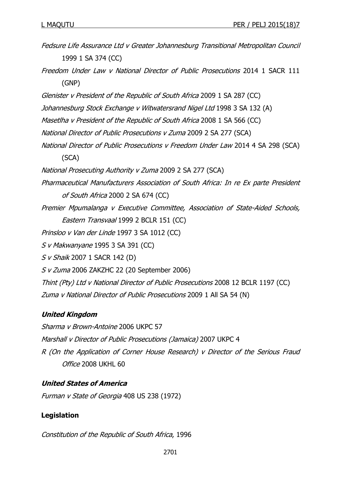Fedsure Life Assurance Ltd v Greater Johannesburg Transitional Metropolitan Council 1999 1 SA 374 (CC) Freedom Under Law v National Director of Public Prosecutions 2014 1 SACR 111

(GNP)

Glenister v President of the Republic of South Africa 2009 1 SA 287 (CC)

Johannesburg Stock Exchange v Witwatersrand Nigel Ltd 1998 3 SA 132 (A)

Masetlha v President of the Republic of South Africa 2008 1 SA 566 (CC)

- National Director of Public Prosecutions v Zuma 2009 2 SA 277 (SCA)
- National Director of Public Prosecutions v Freedom Under Law 2014 4 SA 298 (SCA)

(SCA)

National Prosecuting Authority v Zuma 2009 2 SA 277 (SCA)

- Pharmaceutical Manufacturers Association of South Africa: In re Ex parte President of South Africa 2000 2 SA 674 (CC)
- Premier Mpumalanga v Executive Committee, Association of State-Aided Schools, Eastern Transvaal 1999 2 BCLR 151 (CC)

Prinsloo v Van der Linde 1997 3 SA 1012 (CC)

S v Makwanyane 1995 3 SA 391 (CC)

S v Shaik 2007 1 SACR 142 (D)

S v Zuma 2006 ZAKZHC 22 (20 September 2006)

Thint (Pty) Ltd v National Director of Public Prosecutions 2008 12 BCLR 1197 (CC) Zuma v National Director of Public Prosecutions 2009 1 All SA 54 (N)

# **United Kingdom**

Sharma v Brown-Antoine 2006 UKPC 57 Marshall v Director of Public Prosecutions (Jamaica) 2007 UKPC 4 R (On the Application of Corner House Research) v Director of the Serious Fraud Office 2008 UKHL 60

# **United States of America**

Furman v State of Georgia 408 US 238 (1972)

# **Legislation**

Constitution of the Republic of South Africa, 1996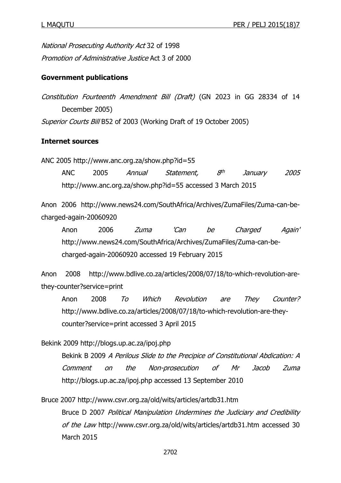National Prosecuting Authority Act 32 of 1998 Promotion of Administrative Justice Act 3 of 2000

# **Government publications**

Constitution Fourteenth Amendment Bill (Draft) (GN 2023 in GG 28334 of 14 December 2005) Superior Courts Bill B52 of 2003 (Working Draft of 19 October 2005)

# **Internet sources**

ANC 2005 http://www.anc.org.za/show.php?id=55

ANC 2005 Annual Statement,  $R<sup>th</sup>$ January 2005 http://www.anc.org.za/show.php?id=55 accessed 3 March 2015

Anon 2006 http://www.news24.com/SouthAfrica/Archives/ZumaFiles/Zuma-can-becharged-again-20060920

Anon 2006 Zuma 'Can be Charged Again' http://www.news24.com/SouthAfrica/Archives/ZumaFiles/Zuma-can-becharged-again-20060920 accessed 19 February 2015

Anon 2008 http://www.bdlive.co.za/articles/2008/07/18/to-which-revolution-arethey-counter?service=print

Anon 2008 To Which Revolution are They Counter? http://www.bdlive.co.za/articles/2008/07/18/to-which-revolution-are-theycounter?service=print accessed 3 April 2015

Bekink 2009 http://blogs.up.ac.za/ipoj.php

Bekink B 2009 A Perilous Slide to the Precipice of Constitutional Abdication: A Comment on the Non-prosecution of Mr Jacob Zuma http://blogs.up.ac.za/ipoj.php accessed 13 September 2010

Bruce 2007 http://www.csvr.org.za/old/wits/articles/artdb31.htm Bruce D 2007 Political Manipulation Undermines the Judiciary and Credibility of the Law http://www.csvr.org.za/old/wits/articles/artdb31.htm accessed 30 March 2015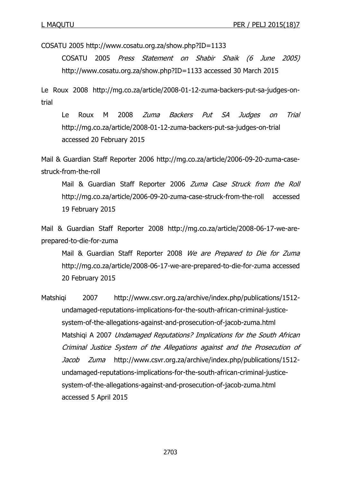COSATU 2005 http://www.cosatu.org.za/show.php?ID=1133

COSATU 2005 Press Statement on Shabir Shaik (6 June 2005) http://www.cosatu.org.za/show.php?ID=1133 accessed 30 March 2015

Le Roux 2008 http://mg.co.za/article/2008-01-12-zuma-backers-put-sa-judges-ontrial

Le Roux M 2008 *Zuma Backers Put SA Judges on Trial* http://mg.co.za/article/2008-01-12-zuma-backers-put-sa-judges-on-trial accessed 20 February 2015

Mail & Guardian Staff Reporter 2006 http://mg.co.za/article/2006-09-20-zuma-casestruck-from-the-roll

Mail & Guardian Staff Reporter 2006 Zuma Case Struck from the Roll http://mg.co.za/article/2006-09-20-zuma-case-struck-from-the-roll accessed 19 February 2015

Mail & Guardian Staff Reporter 2008 http://mg.co.za/article/2008-06-17-we-areprepared-to-die-for-zuma

Mail & Guardian Staff Reporter 2008 We are Prepared to Die for Zuma http://mg.co.za/article/2008-06-17-we-are-prepared-to-die-for-zuma accessed 20 February 2015

Matshiqi 2007 http://www.csvr.org.za/archive/index.php/publications/1512undamaged-reputations-implications-for-the-south-african-criminal-justicesystem-of-the-allegations-against-and-prosecution-of-jacob-zuma.html Matshiqi A 2007 Undamaged Reputations? Implications for the South African Criminal Justice System of the Allegations against and the Prosecution of Jacob Zuma http://www.csvr.org.za/archive/index.php/publications/1512undamaged-reputations-implications-for-the-south-african-criminal-justicesystem-of-the-allegations-against-and-prosecution-of-jacob-zuma.html accessed 5 April 2015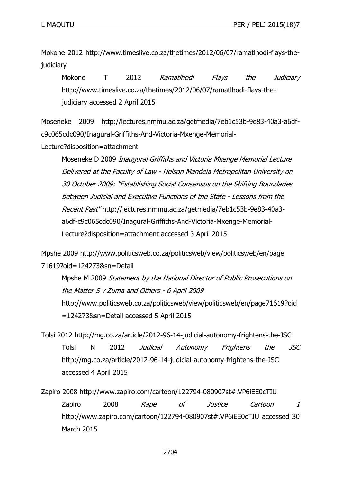Mokone 2012 http://www.timeslive.co.za/thetimes/2012/06/07/ramatlhodi-flays-thejudiciary

Mokone T 2012 Ramatlhodi Flays the Judiciary http://www.timeslive.co.za/thetimes/2012/06/07/ramatlhodi-flays-thejudiciary accessed 2 April 2015

Moseneke 2009 http://lectures.nmmu.ac.za/getmedia/7eb1c53b-9e83-40a3-a6dfc9c065cdc090/Inagural-Griffiths-And-Victoria-Mxenge-Memorial-

Lecture?disposition=attachment

Moseneke D 2009 Inaugural Griffiths and Victoria Mxenge Memorial Lecture Delivered at the Faculty of Law - Nelson Mandela Metropolitan University on 30 October 2009: "Establishing Social Consensus on the Shifting Boundaries between Judicial and Executive Functions of the State - Lessons from the Recent Past" http://lectures.nmmu.ac.za/getmedia/7eb1c53b-9e83-40a3 a6df-c9c065cdc090/Inagural-Griffiths-And-Victoria-Mxenge-Memorial-Lecture?disposition=attachment accessed 3 April 2015

```
Mpshe 2009 http://www.politicsweb.co.za/politicsweb/view/politicsweb/en/page
71619?oid=124273&sn=Detail
```
Mpshe M 2009 Statement by the National Director of Public Prosecutions on the Matter S v Zuma and Others - 6 April 2009 http://www.politicsweb.co.za/politicsweb/view/politicsweb/en/page71619?oid =124273&sn=Detail accessed 5 April 2015

Tolsi 2012 http://mg.co.za/article/2012-96-14-judicial-autonomy-frightens-the-JSC Tolsi N 2012 Judicial Autonomy Frightens the JSC http://mg.co.za/article/2012-96-14-judicial-autonomy-frightens-the-JSC accessed 4 April 2015

Zapiro 2008 http://www.zapiro.com/cartoon/122794-080907st#.VP6iEE0cTIU Zapiro 2008 *Rape of Justice Cartoon 1* http://www.zapiro.com/cartoon/122794-080907st#.VP6iEE0cTIU accessed 30 March 2015